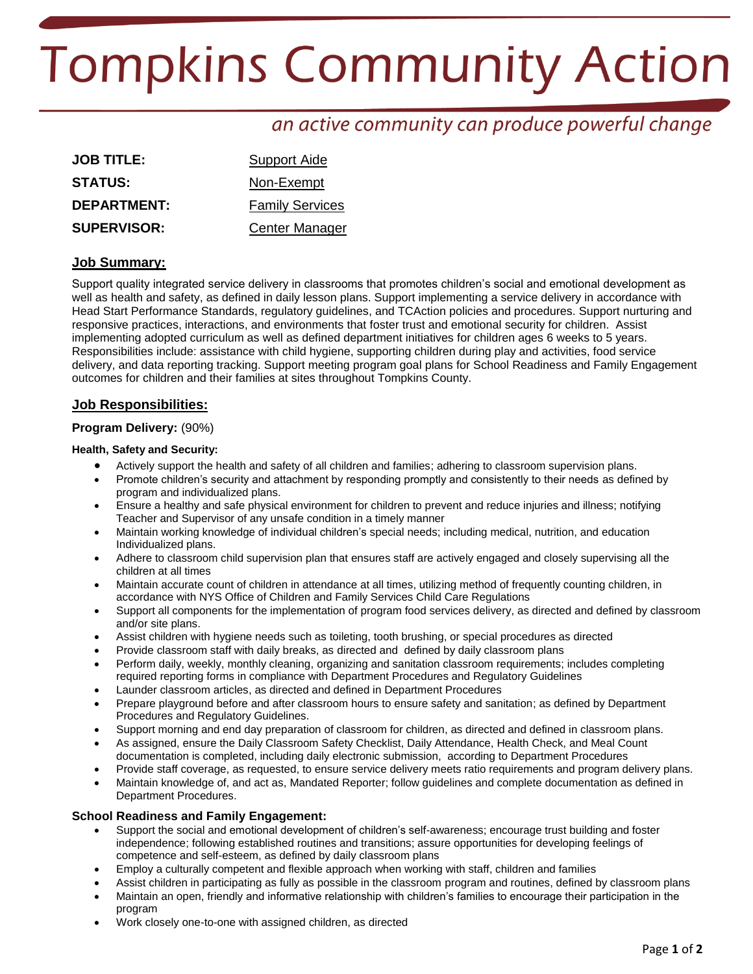# **Tompkins Community Action**

# an active community can produce powerful change

| <b>JOB TITLE:</b>  | <b>Support Aide</b>    |
|--------------------|------------------------|
| <b>STATUS:</b>     | Non-Exempt             |
| <b>DEPARTMENT:</b> | <b>Family Services</b> |
| <b>SUPERVISOR:</b> | <b>Center Manager</b>  |

## **Job Summary:**

Support quality integrated service delivery in classrooms that promotes children's social and emotional development as well as health and safety, as defined in daily lesson plans. Support implementing a service delivery in accordance with Head Start Performance Standards, regulatory guidelines, and TCAction policies and procedures. Support nurturing and responsive practices, interactions, and environments that foster trust and emotional security for children. Assist implementing adopted curriculum as well as defined department initiatives for children ages 6 weeks to 5 years. Responsibilities include: assistance with child hygiene, supporting children during play and activities, food service delivery, and data reporting tracking. Support meeting program goal plans for School Readiness and Family Engagement outcomes for children and their families at sites throughout Tompkins County.

# **Job Responsibilities:**

#### **Program Delivery:** (90%)

#### **Health, Safety and Security:**

- Actively support the health and safety of all children and families; adhering to classroom supervision plans.
- Promote children's security and attachment by responding promptly and consistently to their needs as defined by program and individualized plans.
- Ensure a healthy and safe physical environment for children to prevent and reduce injuries and illness; notifying Teacher and Supervisor of any unsafe condition in a timely manner
- Maintain working knowledge of individual children's special needs; including medical, nutrition, and education Individualized plans.
- Adhere to classroom child supervision plan that ensures staff are actively engaged and closely supervising all the children at all times
- Maintain accurate count of children in attendance at all times, utilizing method of frequently counting children, in accordance with NYS Office of Children and Family Services Child Care Regulations
- Support all components for the implementation of program food services delivery, as directed and defined by classroom and/or site plans.
- Assist children with hygiene needs such as toileting, tooth brushing, or special procedures as directed
- Provide classroom staff with daily breaks, as directed and defined by daily classroom plans
- Perform daily, weekly, monthly cleaning, organizing and sanitation classroom requirements; includes completing required reporting forms in compliance with Department Procedures and Regulatory Guidelines
- Launder classroom articles, as directed and defined in Department Procedures
- Prepare playground before and after classroom hours to ensure safety and sanitation; as defined by Department Procedures and Regulatory Guidelines.
- Support morning and end day preparation of classroom for children, as directed and defined in classroom plans.
- As assigned, ensure the Daily Classroom Safety Checklist, Daily Attendance, Health Check, and Meal Count documentation is completed, including daily electronic submission, according to Department Procedures
- Provide staff coverage, as requested, to ensure service delivery meets ratio requirements and program delivery plans.
- Maintain knowledge of, and act as, Mandated Reporter; follow guidelines and complete documentation as defined in Department Procedures.

#### **School Readiness and Family Engagement:**

- Support the social and emotional development of children's self-awareness; encourage trust building and foster independence; following established routines and transitions; assure opportunities for developing feelings of competence and self-esteem, as defined by daily classroom plans
- Employ a culturally competent and flexible approach when working with staff, children and families
- Assist children in participating as fully as possible in the classroom program and routines, defined by classroom plans
- Maintain an open, friendly and informative relationship with children's families to encourage their participation in the program
- Work closely one-to-one with assigned children, as directed